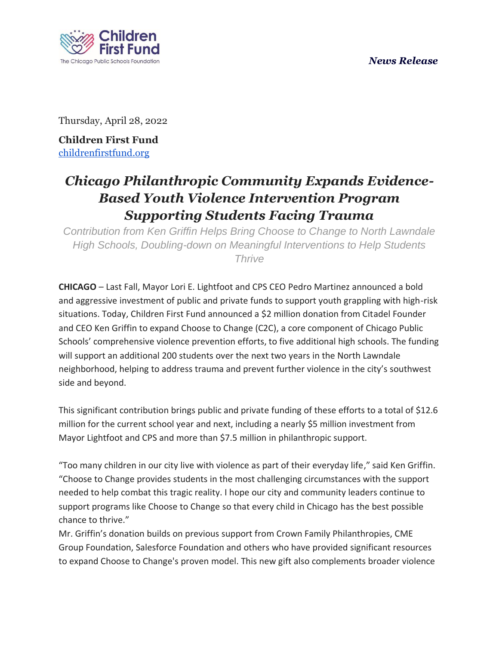### *News Release*



Thursday, April 28, 2022

**Children First Fund** [childrenfirstfund.org](https://childrenfirstfund.org/)

# *Chicago Philanthropic Community Expands Evidence-Based Youth Violence Intervention Program Supporting Students Facing Trauma*

*Contribution from Ken Griffin Helps Bring Choose to Change to North Lawndale High Schools, Doubling-down on Meaningful Interventions to Help Students Thrive* 

**CHICAGO** – Last Fall, Mayor Lori E. Lightfoot and CPS CEO Pedro Martinez announced a bold and aggressive investment of public and private funds to support youth grappling with high-risk situations. Today, Children First Fund announced a \$2 million donation from Citadel Founder and CEO Ken Griffin to expand Choose to Change (C2C), a core component of Chicago Public Schools' comprehensive violence prevention efforts, to five additional high schools. The funding will support an additional 200 students over the next two years in the North Lawndale neighborhood, helping to address trauma and prevent further violence in the city's southwest side and beyond.

This significant contribution brings public and private funding of these efforts to a total of \$12.6 million for the current school year and next, including a nearly \$5 million investment from Mayor Lightfoot and CPS and more than \$7.5 million in philanthropic support.

"Too many children in our city live with violence as part of their everyday life," said Ken Griffin. "Choose to Change provides students in the most challenging circumstances with the support needed to help combat this tragic reality. I hope our city and community leaders continue to support programs like Choose to Change so that every child in Chicago has the best possible chance to thrive."

Mr. Griffin's donation builds on previous support from Crown Family Philanthropies, CME Group Foundation, Salesforce Foundation and others who have provided significant resources to expand Choose to Change's proven model. This new gift also complements broader violence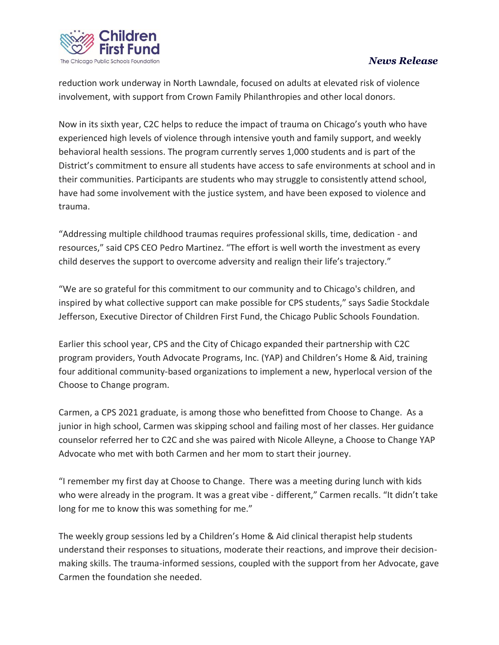

## *News Release*

reduction work underway in North Lawndale, focused on adults at elevated risk of violence involvement, with support from Crown Family Philanthropies and other local donors.

Now in its sixth year, C2C helps to reduce the impact of trauma on Chicago's youth who have experienced high levels of violence through intensive youth and family support, and weekly behavioral health sessions. The program currently serves 1,000 students and is part of the District's commitment to ensure all students have access to safe environments at school and in their communities. Participants are students who may struggle to consistently attend school, have had some involvement with the justice system, and have been exposed to violence and trauma.

"Addressing multiple childhood traumas requires professional skills, time, dedication - and resources," said CPS CEO Pedro Martinez. "The effort is well worth the investment as every child deserves the support to overcome adversity and realign their life's trajectory."

"We are so grateful for this commitment to our community and to Chicago's children, and inspired by what collective support can make possible for CPS students," says Sadie Stockdale Jefferson, Executive Director of Children First Fund, the Chicago Public Schools Foundation.

Earlier this school year, CPS and the City of Chicago expanded their partnership with C2C program providers, Youth Advocate Programs, Inc. (YAP) and Children's Home & Aid, training four additional community-based organizations to implement a new, hyperlocal version of the Choose to Change program.

Carmen, a CPS 2021 graduate, is among those who benefitted from Choose to Change. As a junior in high school, Carmen was skipping school and failing most of her classes. Her guidance counselor referred her to C2C and she was paired with Nicole Alleyne, a Choose to Change YAP Advocate who met with both Carmen and her mom to start their journey.

"I remember my first day at Choose to Change. There was a meeting during lunch with kids who were already in the program. It was a great vibe - different," Carmen recalls. "It didn't take long for me to know this was something for me."

The weekly group sessions led by a Children's Home & Aid clinical therapist help students understand their responses to situations, moderate their reactions, and improve their decisionmaking skills. The trauma-informed sessions, coupled with the support from her Advocate, gave Carmen the foundation she needed.